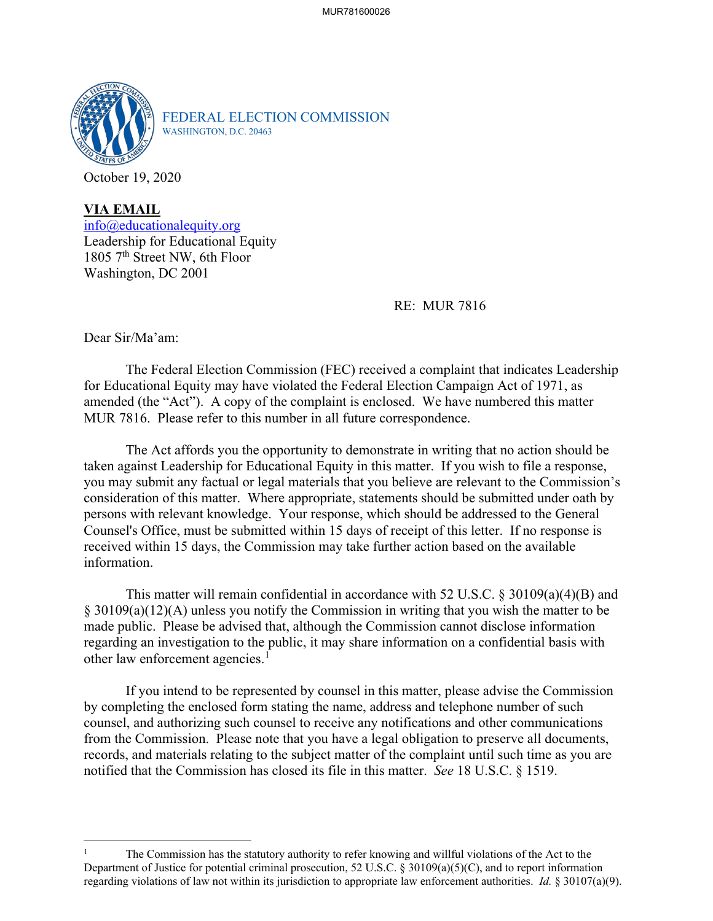

FEDERAL ELECTION COMMISSION WASHINGTON, D.C. 20463

October 19, 2020

**VIA EMAIL** [info@educationalequity.org](mailto:info@educationalequity.org) Leadership for Educational Equity 1805 7<sup>th</sup> Street NW, 6th Floor Washington, DC 2001

RE: MUR 7816

Dear Sir/Ma'am:

The Federal Election Commission (FEC) received a complaint that indicates Leadership for Educational Equity may have violated the Federal Election Campaign Act of 1971, as amended (the "Act"). A copy of the complaint is enclosed. We have numbered this matter MUR 7816. Please refer to this number in all future correspondence.

The Act affords you the opportunity to demonstrate in writing that no action should be taken against Leadership for Educational Equity in this matter. If you wish to file a response, you may submit any factual or legal materials that you believe are relevant to the Commission's consideration of this matter. Where appropriate, statements should be submitted under oath by persons with relevant knowledge. Your response, which should be addressed to the General Counsel's Office, must be submitted within 15 days of receipt of this letter. If no response is received within 15 days, the Commission may take further action based on the available information.

This matter will remain confidential in accordance with 52 U.S.C. § 30109(a)(4)(B) and § 30109(a)(12)(A) unless you notify the Commission in writing that you wish the matter to be made public. Please be advised that, although the Commission cannot disclose information regarding an investigation to the public, it may share information on a confidential basis with other law enforcement agencies.<sup>[1](#page-0-0)</sup>

If you intend to be represented by counsel in this matter, please advise the Commission by completing the enclosed form stating the name, address and telephone number of such counsel, and authorizing such counsel to receive any notifications and other communications from the Commission. Please note that you have a legal obligation to preserve all documents, records, and materials relating to the subject matter of the complaint until such time as you are notified that the Commission has closed its file in this matter. *See* 18 U.S.C. § 1519.

<span id="page-0-0"></span><sup>1</sup> The Commission has the statutory authority to refer knowing and willful violations of the Act to the Department of Justice for potential criminal prosecution, 52 U.S.C. § 30109(a)(5)(C), and to report information regarding violations of law not within its jurisdiction to appropriate law enforcement authorities. *Id.* § 30107(a)(9).